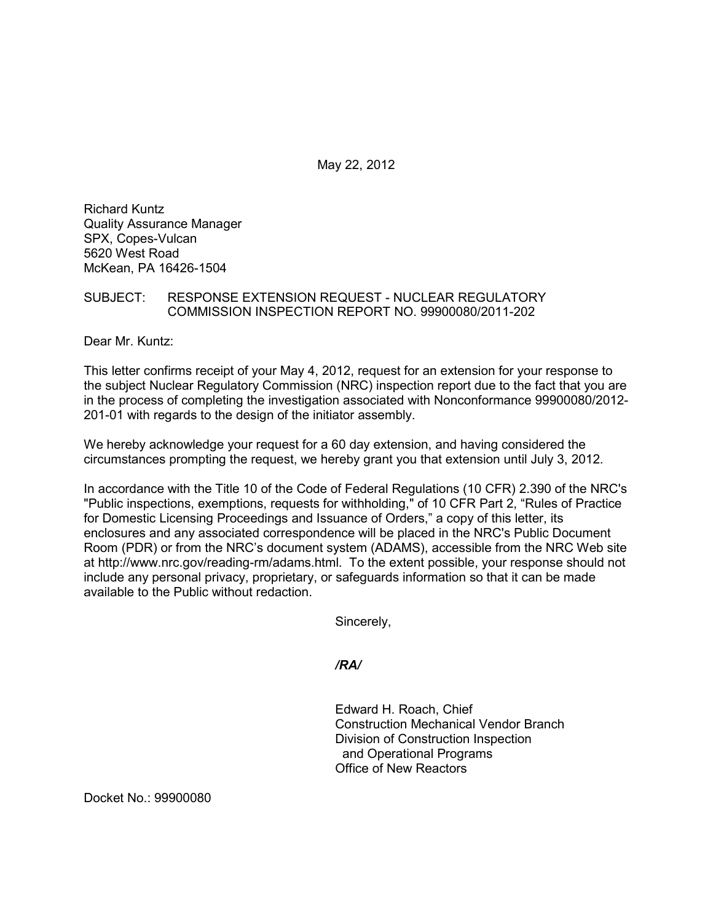May 22, 2012

Richard Kuntz Quality Assurance Manager SPX, Copes-Vulcan 5620 West Road McKean, PA 16426-1504

## SUBJECT: RESPONSE EXTENSION REQUEST - NUCLEAR REGULATORY COMMISSION INSPECTION REPORT NO. 99900080/2011-202

Dear Mr. Kuntz:

This letter confirms receipt of your May 4, 2012, request for an extension for your response to the subject Nuclear Regulatory Commission (NRC) inspection report due to the fact that you are in the process of completing the investigation associated with Nonconformance 99900080/2012- 201-01 with regards to the design of the initiator assembly.

We hereby acknowledge your request for a 60 day extension, and having considered the circumstances prompting the request, we hereby grant you that extension until July 3, 2012.

In accordance with the Title 10 of the Code of Federal Regulations (10 CFR) 2.390 of the NRC's "Public inspections, exemptions, requests for withholding," of 10 CFR Part 2, "Rules of Practice for Domestic Licensing Proceedings and Issuance of Orders," a copy of this letter, its enclosures and any associated correspondence will be placed in the NRC's Public Document Room (PDR) or from the NRC's document system (ADAMS), accessible from the NRC Web site at http://www.nrc.gov/reading-rm/adams.html. To the extent possible, your response should not include any personal privacy, proprietary, or safeguards information so that it can be made available to the Public without redaction.

Sincerely,

*/RA/* 

Edward H. Roach, Chief Construction Mechanical Vendor Branch Division of Construction Inspection and Operational Programs Office of New Reactors

Docket No.: 99900080